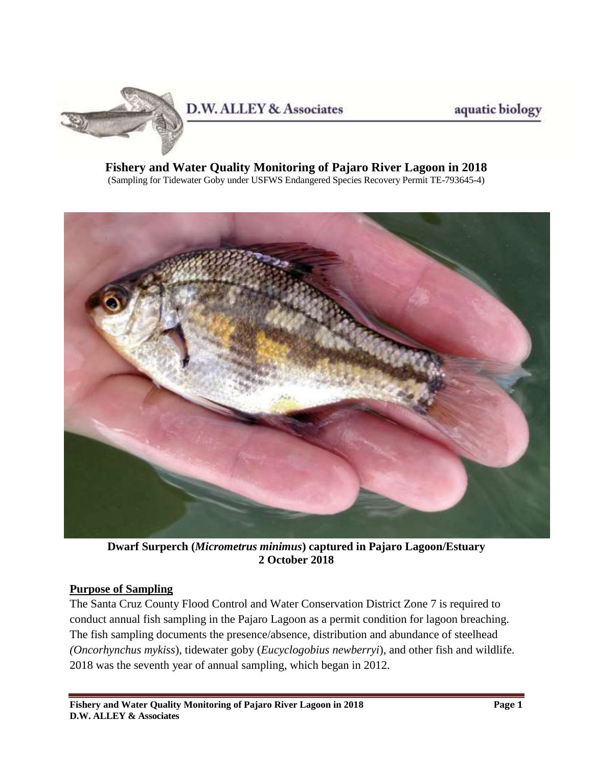

aquatic biology

#### **Fishery and Water Quality Monitoring of Pajaro River Lagoon in 2018** (Sampling for Tidewater Goby under USFWS Endangered Species Recovery Permit TE-793645-4)



**Dwarf Surperch (***Micrometrus minimus***) captured in Pajaro Lagoon/Estuary 2 October 2018**

#### **Purpose of Sampling**

The Santa Cruz County Flood Control and Water Conservation District Zone 7 is required to conduct annual fish sampling in the Pajaro Lagoon as a permit condition for lagoon breaching. The fish sampling documents the presence/absence, distribution and abundance of steelhead *(Oncorhynchus mykiss*), tidewater goby (*Eucyclogobius newberryi*), and other fish and wildlife. 2018 was the seventh year of annual sampling, which began in 2012.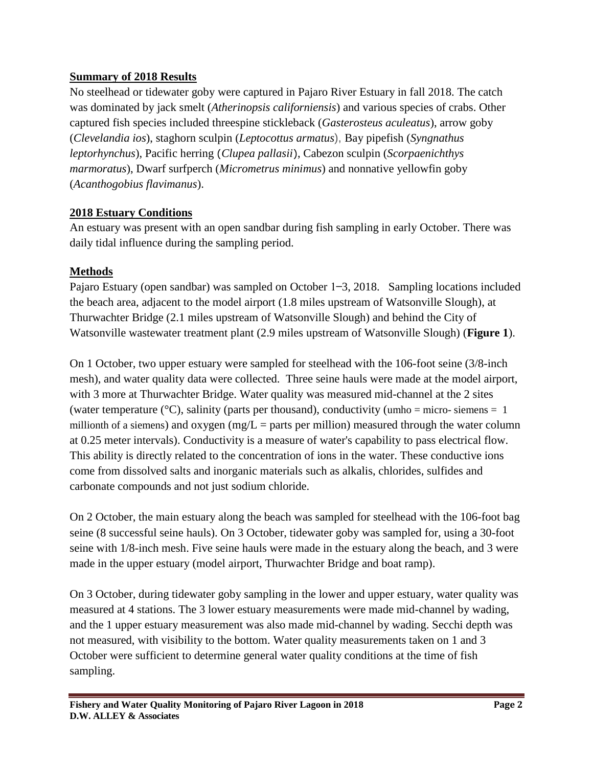## **Summary of 2018 Results**

No steelhead or tidewater goby were captured in Pajaro River Estuary in fall 2018. The catch was dominated by jack smelt (*Atherinopsis californiensis*) and various species of crabs. Other captured fish species included threespine stickleback (*Gasterosteus aculeatus*), arrow goby (*Clevelandia ios*), staghorn sculpin (*Leptocottus armatus*), Bay pipefish (*Syngnathus leptorhynchus*), Pacific herring (*Clupea pallasii*), Cabezon sculpin (*Scorpaenichthys marmoratus*), Dwarf surfperch (*Micrometrus minimus*) and nonnative yellowfin goby (*Acanthogobius flavimanus*).

## **2018 Estuary Conditions**

An estuary was present with an open sandbar during fish sampling in early October. There was daily tidal influence during the sampling period.

# **Methods**

Pajaro Estuary (open sandbar) was sampled on October  $1-3$ , 2018. Sampling locations included the beach area, adjacent to the model airport (1.8 miles upstream of Watsonville Slough), at Thurwachter Bridge (2.1 miles upstream of Watsonville Slough) and behind the City of Watsonville wastewater treatment plant (2.9 miles upstream of Watsonville Slough) (**Figure 1**).

On 1 October, two upper estuary were sampled for steelhead with the 106-foot seine (3/8-inch mesh), and water quality data were collected. Three seine hauls were made at the model airport, with 3 more at Thurwachter Bridge. Water quality was measured mid-channel at the 2 sites (water temperature  $({}^{\circ}C)$ , salinity (parts per thousand), conductivity (umho = micro- siemens = 1 millionth of a siemens) and oxygen (mg/L = parts per million) measured through the water column at 0.25 meter intervals). Conductivity is a measure of water's capability to pass electrical flow. This ability is directly related to the concentration of ions in the water. These conductive ions come from dissolved salts and inorganic materials such as alkalis, chlorides, sulfides and carbonate compounds and not just sodium chloride.

On 2 October, the main estuary along the beach was sampled for steelhead with the 106-foot bag seine (8 successful seine hauls). On 3 October, tidewater goby was sampled for, using a 30-foot seine with 1/8-inch mesh. Five seine hauls were made in the estuary along the beach, and 3 were made in the upper estuary (model airport, Thurwachter Bridge and boat ramp).

On 3 October, during tidewater goby sampling in the lower and upper estuary, water quality was measured at 4 stations. The 3 lower estuary measurements were made mid-channel by wading, and the 1 upper estuary measurement was also made mid-channel by wading. Secchi depth was not measured, with visibility to the bottom. Water quality measurements taken on 1 and 3 October were sufficient to determine general water quality conditions at the time of fish sampling.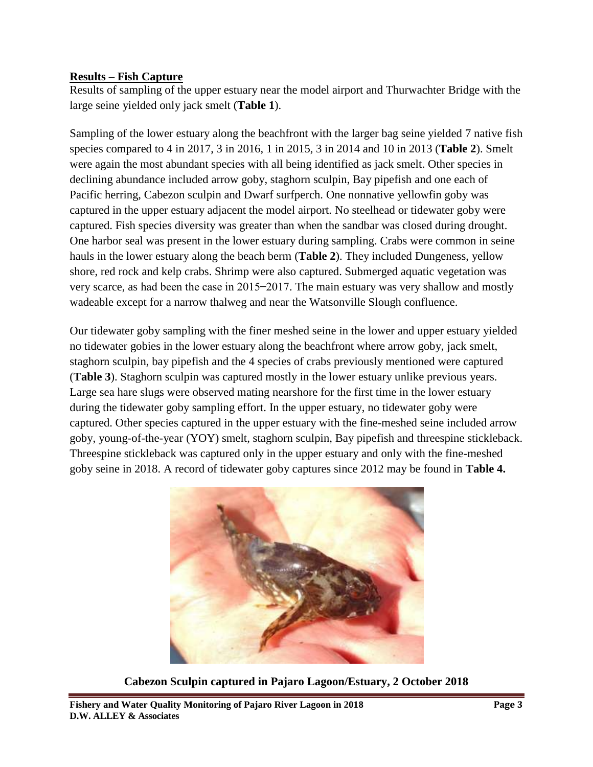#### **Results – Fish Capture**

Results of sampling of the upper estuary near the model airport and Thurwachter Bridge with the large seine yielded only jack smelt (**Table 1**).

Sampling of the lower estuary along the beachfront with the larger bag seine yielded 7 native fish species compared to 4 in 2017, 3 in 2016, 1 in 2015, 3 in 2014 and 10 in 2013 (**Table 2**). Smelt were again the most abundant species with all being identified as jack smelt. Other species in declining abundance included arrow goby, staghorn sculpin, Bay pipefish and one each of Pacific herring, Cabezon sculpin and Dwarf surfperch. One nonnative yellowfin goby was captured in the upper estuary adjacent the model airport. No steelhead or tidewater goby were captured. Fish species diversity was greater than when the sandbar was closed during drought. One harbor seal was present in the lower estuary during sampling. Crabs were common in seine hauls in the lower estuary along the beach berm (**Table 2**). They included Dungeness, yellow shore, red rock and kelp crabs. Shrimp were also captured. Submerged aquatic vegetation was very scarce, as had been the case in 2015–2017. The main estuary was very shallow and mostly wadeable except for a narrow thalweg and near the Watsonville Slough confluence.

Our tidewater goby sampling with the finer meshed seine in the lower and upper estuary yielded no tidewater gobies in the lower estuary along the beachfront where arrow goby, jack smelt, staghorn sculpin, bay pipefish and the 4 species of crabs previously mentioned were captured (**Table 3**). Staghorn sculpin was captured mostly in the lower estuary unlike previous years. Large sea hare slugs were observed mating nearshore for the first time in the lower estuary during the tidewater goby sampling effort. In the upper estuary, no tidewater goby were captured. Other species captured in the upper estuary with the fine-meshed seine included arrow goby, young-of-the-year (YOY) smelt, staghorn sculpin, Bay pipefish and threespine stickleback. Threespine stickleback was captured only in the upper estuary and only with the fine-meshed goby seine in 2018. A record of tidewater goby captures since 2012 may be found in **Table 4.**



**Cabezon Sculpin captured in Pajaro Lagoon/Estuary, 2 October 2018**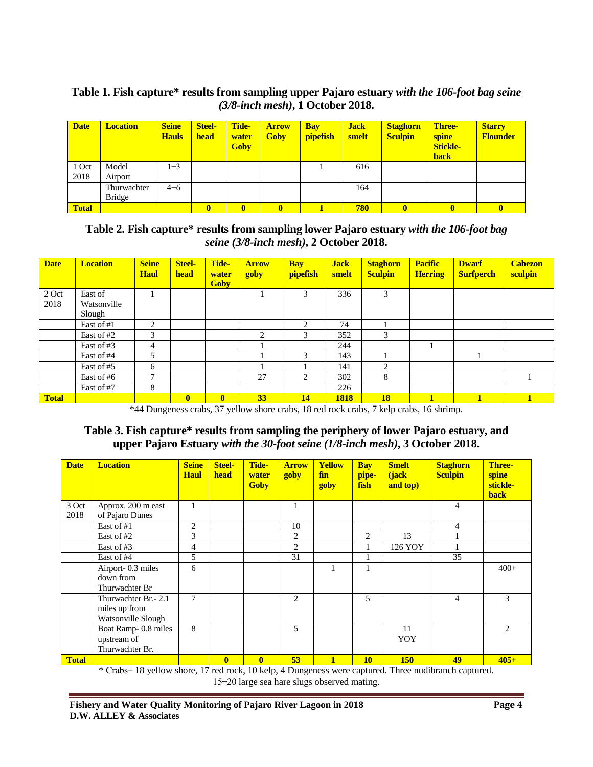#### **Table 1. Fish capture\* results from sampling upper Pajaro estuary** *with the 106-foot bag seine (3/8-inch mesh)***, 1 October 2018.**

| <b>Date</b>  | <b>Location</b> | <b>Seine</b><br><b>Hauls</b> | <b>Steel-</b><br>head | Tide-<br>water<br><b>Goby</b> | <b>Arrow</b><br><b>Goby</b> | <b>Bay</b><br><b>pipefish</b> | <b>Jack</b><br>smelt | <b>Staghorn</b><br><b>Sculpin</b> | <b>Three-</b><br>spine<br><b>Stickle-</b><br><b>back</b> | <b>Starry</b><br><b>Flounder</b> |
|--------------|-----------------|------------------------------|-----------------------|-------------------------------|-----------------------------|-------------------------------|----------------------|-----------------------------------|----------------------------------------------------------|----------------------------------|
| 1 Oct        | Model           | $-3$                         |                       |                               |                             |                               | 616                  |                                   |                                                          |                                  |
| 2018         | Airport         |                              |                       |                               |                             |                               |                      |                                   |                                                          |                                  |
|              | Thurwachter     | $4 - 6$                      |                       |                               |                             |                               | 164                  |                                   |                                                          |                                  |
|              | Bridge          |                              |                       |                               |                             |                               |                      |                                   |                                                          |                                  |
| <b>Total</b> |                 |                              | $\bf{0}$              |                               | $\mathbf{0}$                |                               | 780                  | $\mathbf{0}$                      | $\mathbf{0}$                                             |                                  |

#### **Table 2. Fish capture\* results from sampling lower Pajaro estuary** *with the 106-foot bag seine (3/8-inch mesh)***, 2 October 2018.**

| <b>Date</b>  | <b>Location</b> | <b>Seine</b><br><b>Haul</b> | <b>Steel-</b><br>head | Tide-<br>water<br><b>Goby</b> | <b>Arrow</b><br>goby          | <b>Bay</b><br>pipefish | <b>Jack</b><br>smelt | <b>Staghorn</b><br><b>Sculpin</b> | <b>Pacific</b><br><b>Herring</b> | <b>Dwarf</b><br><b>Surfperch</b> | <b>Cabezon</b><br>sculpin |
|--------------|-----------------|-----------------------------|-----------------------|-------------------------------|-------------------------------|------------------------|----------------------|-----------------------------------|----------------------------------|----------------------------------|---------------------------|
| 2 Oct        | East of         |                             |                       |                               |                               | 3                      | 336                  | 3                                 |                                  |                                  |                           |
| 2018         | Watsonville     |                             |                       |                               |                               |                        |                      |                                   |                                  |                                  |                           |
|              | Slough          |                             |                       |                               |                               |                        |                      |                                   |                                  |                                  |                           |
|              | East of #1      | 2                           |                       |                               |                               | 2                      | 74                   |                                   |                                  |                                  |                           |
|              | East of #2      | 3                           |                       |                               | $\mathfrak{D}_{\mathfrak{p}}$ | 3                      | 352                  | 3                                 |                                  |                                  |                           |
|              | East of #3      | 4                           |                       |                               |                               |                        | 244                  |                                   |                                  |                                  |                           |
|              | East of #4      | 5                           |                       |                               |                               | 3                      | 143                  |                                   |                                  |                                  |                           |
|              | East of #5      | 6                           |                       |                               |                               |                        | 141                  | $\overline{c}$                    |                                  |                                  |                           |
|              | East of #6      | ⇁                           |                       |                               | 27                            | 2                      | 302                  | 8                                 |                                  |                                  |                           |
|              | East of #7      | 8                           |                       |                               |                               |                        | 226                  |                                   |                                  |                                  |                           |
| <b>Total</b> |                 |                             | $\mathbf{0}$          | $\mathbf{0}$                  | 33                            | 14                     | 1818                 | <b>18</b>                         |                                  |                                  |                           |

\*44 Dungeness crabs, 37 yellow shore crabs, 18 red rock crabs, 7 kelp crabs, 16 shrimp.

#### **Table 3. Fish capture\* results from sampling the periphery of lower Pajaro estuary, and upper Pajaro Estuary** *with the 30-foot seine (1/8-inch mesh)***, 3 October 2018.**

| <b>Date</b>   | <b>Location</b>                                              | <b>Seine</b><br><b>Haul</b> | <b>Steel-</b><br>head | Tide-<br>water<br><b>Goby</b> | <b>Arrow</b><br>goby | <b>Yellow</b><br>fin<br>goby | <b>Bay</b><br>pipe-<br>fish | <b>Smelt</b><br>(jack<br>and top) | <b>Staghorn</b><br><b>Sculpin</b> | <b>Three-</b><br>spine<br>stickle-<br><b>back</b> |
|---------------|--------------------------------------------------------------|-----------------------------|-----------------------|-------------------------------|----------------------|------------------------------|-----------------------------|-----------------------------------|-----------------------------------|---------------------------------------------------|
| 3 Oct<br>2018 | Approx. 200 m east<br>of Pajaro Dunes                        | 1                           |                       |                               | 1                    |                              |                             |                                   | $\overline{4}$                    |                                                   |
|               | East of #1                                                   | 2                           |                       |                               | 10                   |                              |                             |                                   | 4                                 |                                                   |
|               | East of #2                                                   | 3                           |                       |                               | 2                    |                              | 2                           | 13                                |                                   |                                                   |
|               | East of #3                                                   | 4                           |                       |                               | 2                    |                              | $\mathbf{I}$                | 126 YOY                           |                                   |                                                   |
|               | East of #4                                                   | 5                           |                       |                               | 31                   |                              |                             |                                   | 35                                |                                                   |
|               | Airport-0.3 miles<br>down from<br>Thurwachter Br             | 6                           |                       |                               |                      |                              |                             |                                   |                                   | $400+$                                            |
|               | Thurwachter Br. - 2.1<br>miles up from<br>Watsonville Slough | 7                           |                       |                               | 2                    |                              | 5                           |                                   | 4                                 | 3                                                 |
|               | Boat Ramp-0.8 miles<br>upstream of<br>Thurwachter Br.        | 8                           |                       |                               | 5                    |                              |                             | 11<br>YOY                         |                                   | 2                                                 |
| <b>Total</b>  |                                                              |                             | $\mathbf{0}$          | $\bf{0}$                      | 53                   |                              | <b>10</b>                   | <b>150</b>                        | 49                                | $405+$                                            |

\* 18 yellow shore, 17 red rock, 10 kelp, 4 Dungeness were captured. Three nudibranch captured. 15-20 large sea hare slugs observed mating.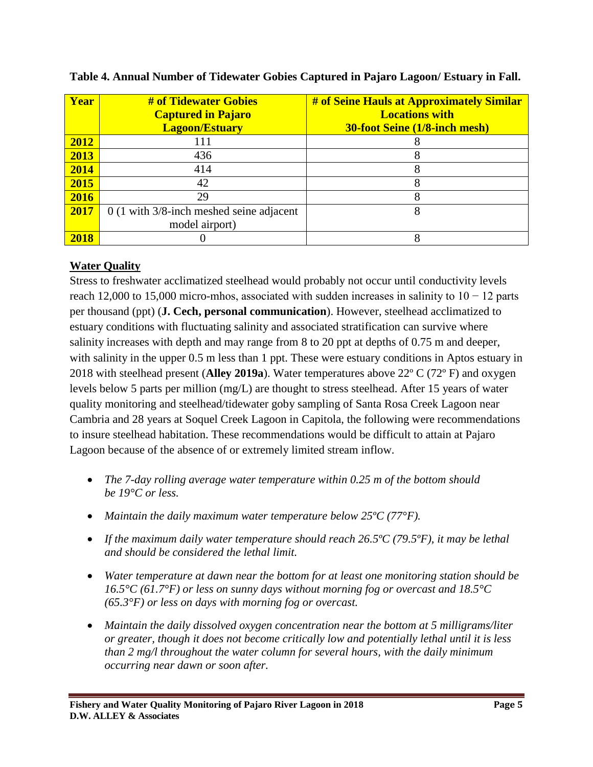| Year | # of Tidewater Gobies<br><b>Captured in Pajaro</b><br><b>Lagoon/Estuary</b> | # of Seine Hauls at Approximately Similar<br><b>Locations with</b><br><b>30-foot Seine (1/8-inch mesh)</b> |
|------|-----------------------------------------------------------------------------|------------------------------------------------------------------------------------------------------------|
| 2012 | 111                                                                         |                                                                                                            |
| 2013 | 436                                                                         |                                                                                                            |
| 2014 | 414                                                                         |                                                                                                            |
| 2015 | 42                                                                          |                                                                                                            |
| 2016 | 29                                                                          | 8                                                                                                          |
| 2017 | $0(1 \text{ with } 3/8 \text{-inch meshed seine adjacent})$                 |                                                                                                            |
|      | model airport)                                                              |                                                                                                            |
| 2018 |                                                                             |                                                                                                            |

### **Table 4. Annual Number of Tidewater Gobies Captured in Pajaro Lagoon/ Estuary in Fall.**

# **Water Quality**

Stress to freshwater acclimatized steelhead would probably not occur until conductivity levels reach 12,000 to 15,000 micro-mhos, associated with sudden increases in salinity to  $10 - 12$  parts per thousand (ppt) (**J. Cech, personal communication**). However, steelhead acclimatized to estuary conditions with fluctuating salinity and associated stratification can survive where salinity increases with depth and may range from 8 to 20 ppt at depths of 0.75 m and deeper, with salinity in the upper 0.5 m less than 1 ppt. These were estuary conditions in Aptos estuary in 2018 with steelhead present (**Alley 2019a**). Water temperatures above 22º C (72º F) and oxygen levels below 5 parts per million (mg/L) are thought to stress steelhead. After 15 years of water quality monitoring and steelhead/tidewater goby sampling of Santa Rosa Creek Lagoon near Cambria and 28 years at Soquel Creek Lagoon in Capitola, the following were recommendations to insure steelhead habitation. These recommendations would be difficult to attain at Pajaro Lagoon because of the absence of or extremely limited stream inflow.

- *The 7-day rolling average water temperature within 0.25 m of the bottom should be 19°C or less.*
- *Maintain the daily maximum water temperature below 25ºC (77°F).*
- *If the maximum daily water temperature should reach 26.5ºC (79.5ºF), it may be lethal and should be considered the lethal limit.*
- *Water temperature at dawn near the bottom for at least one monitoring station should be 16.5°C (61.7°F) or less on sunny days without morning fog or overcast and 18.5°C (65.3°F) or less on days with morning fog or overcast.*
- *Maintain the daily dissolved oxygen concentration near the bottom at 5 milligrams/liter or greater, though it does not become critically low and potentially lethal until it is less than 2 mg/l throughout the water column for several hours, with the daily minimum occurring near dawn or soon after.*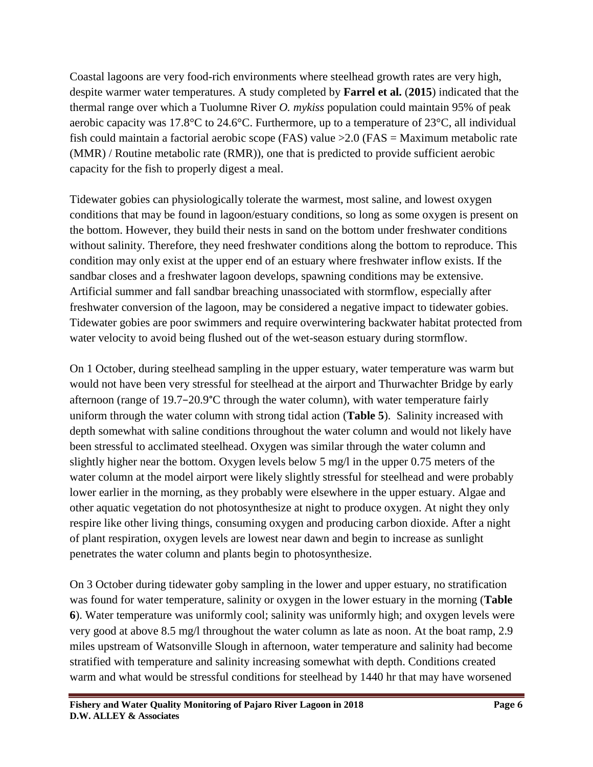Coastal lagoons are very food-rich environments where steelhead growth rates are very high, despite warmer water temperatures. A study completed by **Farrel et al.** (**2015**) indicated that the thermal range over which a Tuolumne River *O. mykiss* population could maintain 95% of peak aerobic capacity was 17.8°C to 24.6°C. Furthermore, up to a temperature of 23°C, all individual fish could maintain a factorial aerobic scope (FAS) value > 2.0 (FAS = Maximum metabolic rate (MMR) / Routine metabolic rate (RMR)), one that is predicted to provide sufficient aerobic capacity for the fish to properly digest a meal.

Tidewater gobies can physiologically tolerate the warmest, most saline, and lowest oxygen conditions that may be found in lagoon/estuary conditions, so long as some oxygen is present on the bottom. However, they build their nests in sand on the bottom under freshwater conditions without salinity. Therefore, they need freshwater conditions along the bottom to reproduce. This condition may only exist at the upper end of an estuary where freshwater inflow exists. If the sandbar closes and a freshwater lagoon develops, spawning conditions may be extensive. Artificial summer and fall sandbar breaching unassociated with stormflow, especially after freshwater conversion of the lagoon, may be considered a negative impact to tidewater gobies. Tidewater gobies are poor swimmers and require overwintering backwater habitat protected from water velocity to avoid being flushed out of the wet-season estuary during stormflow.

On 1 October, during steelhead sampling in the upper estuary, water temperature was warm but would not have been very stressful for steelhead at the airport and Thurwachter Bridge by early afternoon (range of 19.7−20.9°C through the water column), with water temperature fairly uniform through the water column with strong tidal action (**Table 5**). Salinity increased with depth somewhat with saline conditions throughout the water column and would not likely have been stressful to acclimated steelhead. Oxygen was similar through the water column and slightly higher near the bottom. Oxygen levels below 5 mg/l in the upper 0.75 meters of the water column at the model airport were likely slightly stressful for steelhead and were probably lower earlier in the morning, as they probably were elsewhere in the upper estuary. Algae and other aquatic vegetation do not photosynthesize at night to produce oxygen. At night they only respire like other living things, consuming oxygen and producing carbon dioxide. After a night of plant respiration, oxygen levels are lowest near dawn and begin to increase as sunlight penetrates the water column and plants begin to photosynthesize.

On 3 October during tidewater goby sampling in the lower and upper estuary, no stratification was found for water temperature, salinity or oxygen in the lower estuary in the morning (**Table 6**). Water temperature was uniformly cool; salinity was uniformly high; and oxygen levels were very good at above 8.5 mg/l throughout the water column as late as noon. At the boat ramp, 2.9 miles upstream of Watsonville Slough in afternoon, water temperature and salinity had become stratified with temperature and salinity increasing somewhat with depth. Conditions created warm and what would be stressful conditions for steelhead by 1440 hr that may have worsened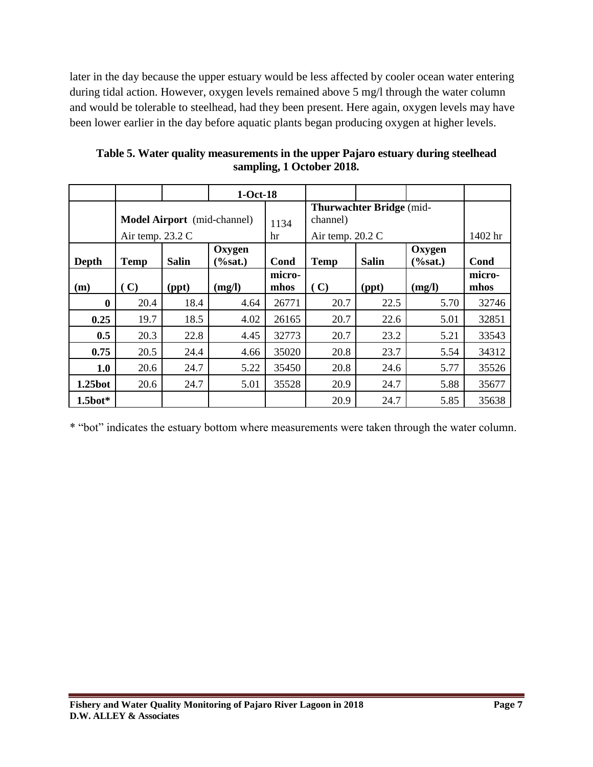later in the day because the upper estuary would be less affected by cooler ocean water entering during tidal action. However, oxygen levels remained above 5 mg/l through the water column and would be tolerable to steelhead, had they been present. Here again, oxygen levels may have been lower earlier in the day before aquatic plants began producing oxygen at higher levels.

|               |                  |              | $1-Oct-18$                         |                |                                      |              |                       |                |
|---------------|------------------|--------------|------------------------------------|----------------|--------------------------------------|--------------|-----------------------|----------------|
|               |                  |              | <b>Model Airport</b> (mid-channel) | 1134           | Thurwachter Bridge (mid-<br>channel) |              |                       |                |
|               | Air temp. 23.2 C |              |                                    | hr             | Air temp. $20.2 \text{ C}$           | 1402 hr      |                       |                |
| Depth         | <b>Temp</b>      | <b>Salin</b> | Oxygen<br>$(\% sat.)$              | Cond           | <b>Temp</b>                          | <b>Salin</b> | Oxygen<br>$(\% sat.)$ | Cond           |
| (m)           | (C)<br>(ppt)     |              | (mg/l)                             | micro-<br>mhos |                                      | (ppt)        | (mg/l)                | micro-<br>mhos |
| $\bf{0}$      | 20.4             | 18.4         | 4.64                               | 26771          | 20.7                                 | 22.5         | 5.70                  | 32746          |
| 0.25          | 19.7             | 18.5         | 4.02                               | 26165          | 20.7                                 | 22.6         | 5.01                  | 32851          |
| 0.5           | 20.3             | 22.8         | 4.45                               | 32773          | 20.7                                 | 23.2         | 5.21                  | 33543          |
| 0.75          | 20.5             | 24.4         | 4.66                               | 35020          | 20.8                                 | 23.7         | 5.54                  | 34312          |
| 1.0           | 20.6             | 24.7         | 5.22                               | 35450          | 20.8                                 | 24.6         | 5.77                  | 35526          |
| 1.25bot       | 20.6             | 24.7         | 5.01                               | 35528          | 20.9                                 | 24.7         | 5.88                  | 35677          |
| $1.5$ bot $*$ |                  |              |                                    |                | 20.9                                 | 24.7         | 5.85                  | 35638          |

**Table 5. Water quality measurements in the upper Pajaro estuary during steelhead sampling, 1 October 2018.**

\* "bot" indicates the estuary bottom where measurements were taken through the water column.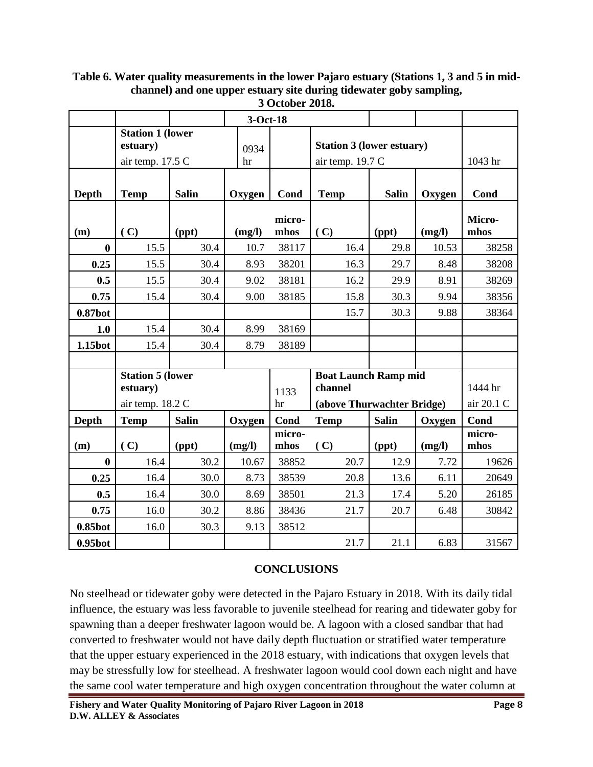**3-Oct-18 Station 1 (lower estuary**) 0934 hr **Station 3 (lower estuary)**  air temp. 17.5 Cair temp. 19.7 C 1043 hr **Depth** Temp Salin | Oxygen | Cond | Temp | Salin **Oxygen Cond**  $(m)$   $(c)$   $(ppt)$   $(mg/l)$ **micromhos ( C) (ppt) (mg/l) Micromhos 0** 15.5 30.4 10.7 38117 16.4 29.8 10.53 38258 **0.25** 15.5 30.4 8.93 38201 16.3 29.7 8.48 38208 **0.5** 15.5 30.4 9.02 38181 16.2 29.9 8.91 38269 **0.75** 15.4 30.4 9.00 38185 15.8 30.3 9.94 38356 **0.87bot** 15.7 30.3 9.88 38364 **1.0** 15.4 30.4 8.99 38169 **1.15bot** 15.4 30.4 8.79 38189 **Station 5 (lower estuary**) 1133 hr **Boat Launch Ramp mid channel** 1444 hr air temp. 18.2 C **(above Thurwachter Bridge)** air 20.1 C **Depth** Temp Salin | Oxygen | Cond Temp | Salin | Oxygen | Cond  $(\mathbf{m})$   $(\mathbf{C})$   $(\mathbf{ppt})$   $(\mathbf{m}\mathbf{g}/\mathbf{l})$ **micro** $m\text{hos}$  **(C)**  $\qquad$  **(ppt)**  $\qquad$  **(mg/l) micromhos 0** 16.4 30.2 10.67 38852 20.7 12.9 7.72 19626 **0.25** 16.4 30.0 8.73 38539 20.8 13.6 6.11 20649 **0.5** 16.4 30.0 8.69 38501 21.3 17.4 5.20 26185 **0.75** 16.0 30.2 8.86 38436 21.7 20.7 6.48 30842 **0.85bot** 16.0 30.3 9.13 38512 **0.95bot** 21.7 21.1 6.83 31567

**Table 6. Water quality measurements in the lower Pajaro estuary (Stations 1, 3 and 5 in midchannel) and one upper estuary site during tidewater goby sampling, 3 October 2018.**

#### **CONCLUSIONS**

No steelhead or tidewater goby were detected in the Pajaro Estuary in 2018. With its daily tidal influence, the estuary was less favorable to juvenile steelhead for rearing and tidewater goby for spawning than a deeper freshwater lagoon would be. A lagoon with a closed sandbar that had converted to freshwater would not have daily depth fluctuation or stratified water temperature that the upper estuary experienced in the 2018 estuary, with indications that oxygen levels that may be stressfully low for steelhead. A freshwater lagoon would cool down each night and have the same cool water temperature and high oxygen concentration throughout the water column at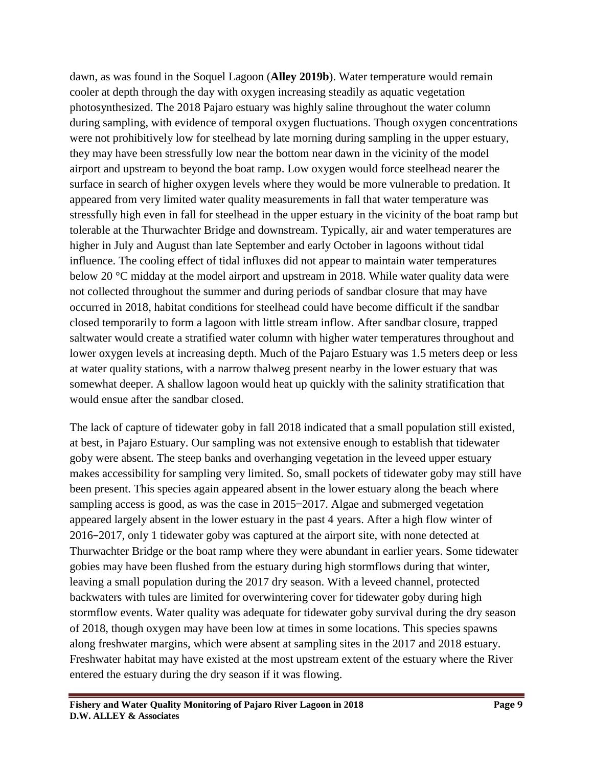dawn, as was found in the Soquel Lagoon (**Alley 2019b**). Water temperature would remain cooler at depth through the day with oxygen increasing steadily as aquatic vegetation photosynthesized. The 2018 Pajaro estuary was highly saline throughout the water column during sampling, with evidence of temporal oxygen fluctuations. Though oxygen concentrations were not prohibitively low for steelhead by late morning during sampling in the upper estuary, they may have been stressfully low near the bottom near dawn in the vicinity of the model airport and upstream to beyond the boat ramp. Low oxygen would force steelhead nearer the surface in search of higher oxygen levels where they would be more vulnerable to predation. It appeared from very limited water quality measurements in fall that water temperature was stressfully high even in fall for steelhead in the upper estuary in the vicinity of the boat ramp but tolerable at the Thurwachter Bridge and downstream. Typically, air and water temperatures are higher in July and August than late September and early October in lagoons without tidal influence. The cooling effect of tidal influxes did not appear to maintain water temperatures below 20 °C midday at the model airport and upstream in 2018. While water quality data were not collected throughout the summer and during periods of sandbar closure that may have occurred in 2018, habitat conditions for steelhead could have become difficult if the sandbar closed temporarily to form a lagoon with little stream inflow. After sandbar closure, trapped saltwater would create a stratified water column with higher water temperatures throughout and lower oxygen levels at increasing depth. Much of the Pajaro Estuary was 1.5 meters deep or less at water quality stations, with a narrow thalweg present nearby in the lower estuary that was somewhat deeper. A shallow lagoon would heat up quickly with the salinity stratification that would ensue after the sandbar closed.

The lack of capture of tidewater goby in fall 2018 indicated that a small population still existed, at best, in Pajaro Estuary. Our sampling was not extensive enough to establish that tidewater goby were absent. The steep banks and overhanging vegetation in the leveed upper estuary makes accessibility for sampling very limited. So, small pockets of tidewater goby may still have been present. This species again appeared absent in the lower estuary along the beach where sampling access is good, as was the case in 2015–2017. Algae and submerged vegetation appeared largely absent in the lower estuary in the past 4 years. After a high flow winter of 2016−2017, only 1 tidewater goby was captured at the airport site, with none detected at Thurwachter Bridge or the boat ramp where they were abundant in earlier years. Some tidewater gobies may have been flushed from the estuary during high stormflows during that winter, leaving a small population during the 2017 dry season. With a leveed channel, protected backwaters with tules are limited for overwintering cover for tidewater goby during high stormflow events. Water quality was adequate for tidewater goby survival during the dry season of 2018, though oxygen may have been low at times in some locations. This species spawns along freshwater margins, which were absent at sampling sites in the 2017 and 2018 estuary. Freshwater habitat may have existed at the most upstream extent of the estuary where the River entered the estuary during the dry season if it was flowing.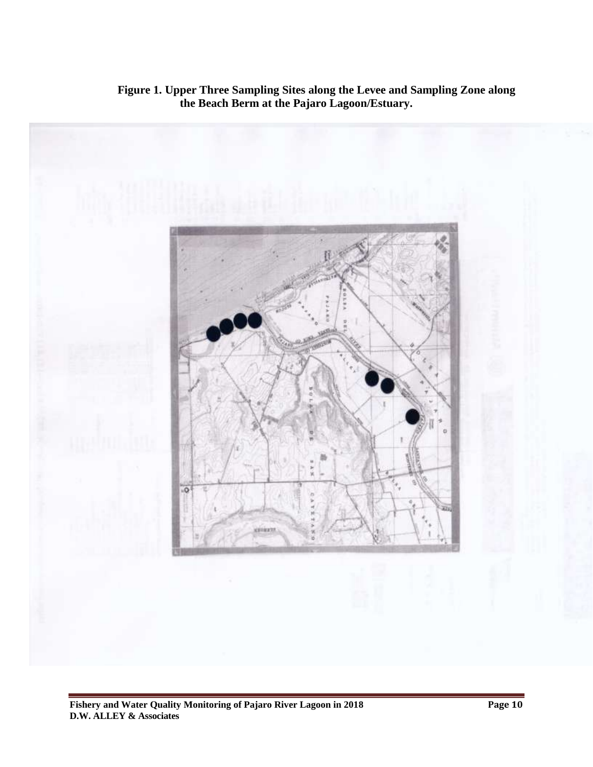

 **Figure 1. Upper Three Sampling Sites along the Levee and Sampling Zone along the Beach Berm at the Pajaro Lagoon/Estuary.**